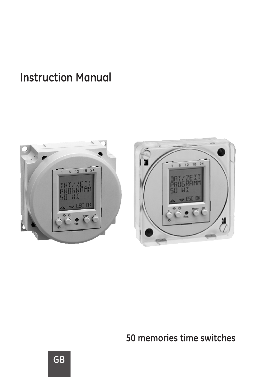### **Instruction Manual**



**50 memories time switches**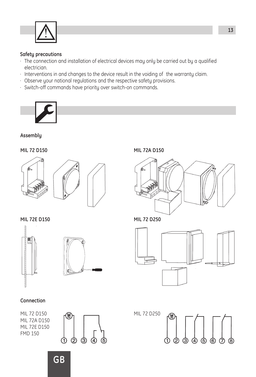

#### **Safety precautions**

- · The connection and installation of electrical devices may only be carried out by a qualified electrician.
- · Interventions in and changes to the device result in the voiding of the warranty claim.
- 
- · Observe your national regulations and the respective safety provisions. · Switch-off commands have priority over switch-on commands.



**Assembly**





**MIL 72E D150 MIL 72 D250**





#### **Connection**

MIL 72 D150 MIL 72A D150 MIL 72E D150 FMD 150



**MIL 72 D150 MIL 72A D150**





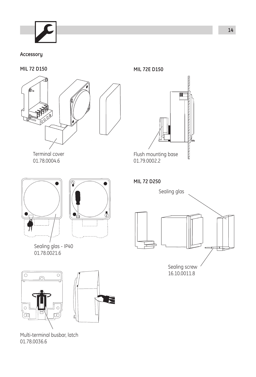**Accessory**

**MIL 72 D150**



Terminal cover 01.78.0004.6



Sealing glas - IP40 01.78.0021.6



Multi-terminal busbar, latch 01.78.0036.6

**MIL 72E D150**



**MIL 72 D250**

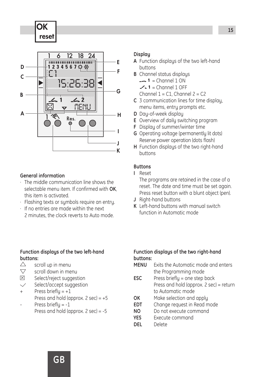OK reset



#### **General information**

- · The middle communication line shows the selectable menu item. If confirmed with **OK**, this item is activated.
- · Flashing texts or symbols require an entry.
- · If no entries are made within the next 2 minutes, the clock reverts to Auto mode.

### **Function displays of the two left-hand buttons:**<br>  $\triangle$

- scroll up in menu
- ᠸ scroll down in menu
- 冈 Select/reject suggestion
- Select/accept suggestion

Press briefly =  $+1$ 

Press and hold (approx.  $2 \sec = +5$ 

- Press briefly = -1
	- Press and hold (approx. 2 sec) = -5

#### **Display**

- **A** Function displays of the two left-hand buttons
- **B** Channel status displays
	- $= 1$  = Channel 1 ON
	- $-$  1 = Channel 1 OFF
	- Channel  $1 = C1$ , Channel  $2 = C2$
- **C** 3 communication lines for time display, menu items, entry prompts etc.
- **D** Day-of-week display
- **E** Overview of daily switching program
- **F** Display of summer/winter time
- **G** Operating voltage (permanently lit dots) Reserve power operation (dots flash)
- **H** Function displays of the two right-hand buttons

#### **Buttons**

**I** Reset

The programs are retained in the case of a reset. The date and time must be set again. Press reset button with a blunt object (pen).

- **J** Right-hand buttons
- **K** Left-hand buttons with manual switch function in Automatic mode

### **Function displays of the two right-hand buttons:**

- **Exits the Automatic mode and enters** the Programming mode
- **ESC** Press briefly = one step back Press and hold (approx. 2 sec) = return to Automatic mode
- **OK** Make selection and apply<br>**FDT** Change request in Read a
- **Change request in Read mode**
- **NO** Do not execute command
- **YES** Execute command<br> **DEI** Delete
- **DEL** Delete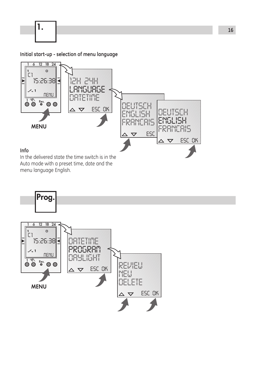1.

**Initial start-up - selection of menu language**



Auto mode with a preset time, date and the menu language English.

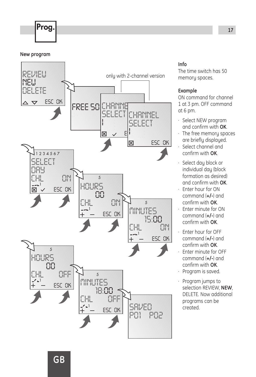## **Prog.** 2008. The contract of the contract of the contract of the contract of the contract of the contract of the contract of the contract of the contract of the contract of the contract of the contract of the contract of

#### **New program**



#### **Info**

The time switch has 50 memory spaces.

#### **Example**

ON command for channel 1 at 3 pm. OFF command at 6 pm.

- · Select NEW program and confirm with **OK**.
- · The free memory spaces are briefly displayed.
- · Select channel and confirm with **OK**.
- · Select day block or individual day (block formation as desired) and confirm with **OK**.
- · Enter hour for ON command (**+/-**) and confirm with **OK**.
- · Enter minute for ON command (**+/-**) and confirm with **OK**.
- · Enter hour for OFF command (**+/-**) and confirm with **OK**.
- · Enter minute for OFF command (**+/-**) and confirm with **OK**.
- · Program is saved.
- · Program jumps to selection REVIEW, **NEW**, DELETE. Now additional programs can be created.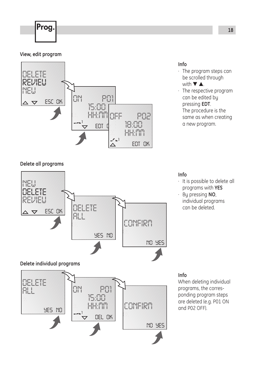# **Prog.** 2008. The contract of the contract of the contract of the contract of the contract of the contract of the contract of the contract of the contract of the contract of the contract of the contract of the contract of

#### **View, edit program**



#### **Info**

- · The program steps can be scrolled through with ▼ ▲.
- · The respective program can be edited by pressing **EDT**. The procedure is the same as when creating a new program.

#### **Delete all programs**



 *HH:MM DEL OK YES NO OK*

*CONFIRM*

*NO YES*

#### **Info**

- · It is possible to delete all programs with **YES**
- · By pressing **NO**, individual programs can be deleted.

#### **Info**

When deleting individual programs, the corresponding program steps are deleted (e.g. P01 ON and P02 OFF).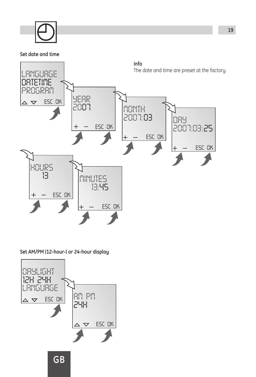#### **Set date and time**



#### **Set AM/PM (12-hour-) or 24-hour display**

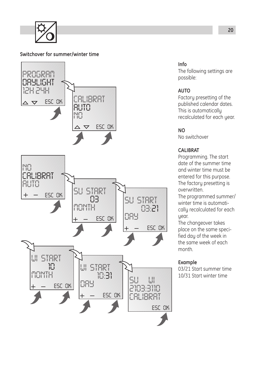#### **Switchover for summer/winter time**



#### **Info**

The following settings are possible:

#### **AUTO**

Factory presetting of the published calendar dates. This is automatically recalculated for each year.

#### **NO**

No switchover

#### **CALIBRAT**

Programming. The start date of the summer time and winter time must be entered for this purpose. The factory presetting is overwritten.

The programmed summer/ winter time is automatically recalculated for each year.

The changeover takes place on the same specified day of the week in the same week of each month.

#### **Example**

03/21 Start summer time 10/31 Start winter time